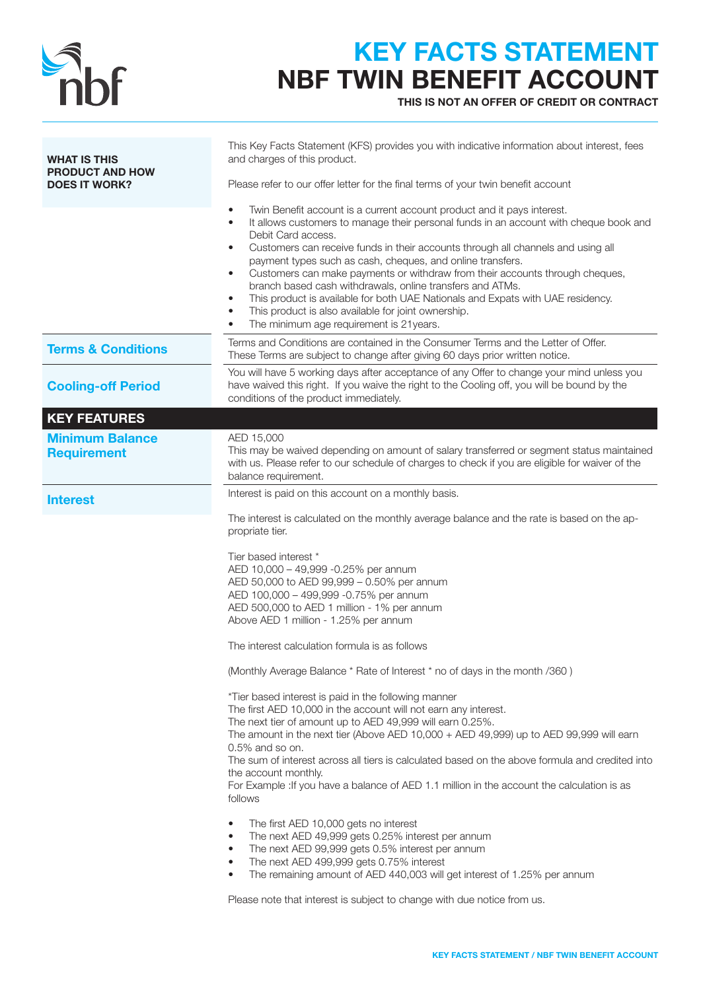

### KEY FACTS STATEMENT NBF TWIN BENEFIT ACCOUNT

THIS IS NOT AN OFFER OF CREDIT OR CONTRACT

| <b>WHAT IS THIS</b>                            | This Key Facts Statement (KFS) provides you with indicative information about interest, fees<br>and charges of this product.                                                                                                                                                                                                                                                                                                                                                                                                                                                                                                                                                                                                                                                                                                                                                                            |
|------------------------------------------------|---------------------------------------------------------------------------------------------------------------------------------------------------------------------------------------------------------------------------------------------------------------------------------------------------------------------------------------------------------------------------------------------------------------------------------------------------------------------------------------------------------------------------------------------------------------------------------------------------------------------------------------------------------------------------------------------------------------------------------------------------------------------------------------------------------------------------------------------------------------------------------------------------------|
| <b>PRODUCT AND HOW</b><br><b>DOES IT WORK?</b> | Please refer to our offer letter for the final terms of your twin benefit account                                                                                                                                                                                                                                                                                                                                                                                                                                                                                                                                                                                                                                                                                                                                                                                                                       |
|                                                | Twin Benefit account is a current account product and it pays interest.<br>It allows customers to manage their personal funds in an account with cheque book and<br>$\bullet$<br>Debit Card access.<br>Customers can receive funds in their accounts through all channels and using all<br>$\bullet$<br>payment types such as cash, cheques, and online transfers.<br>Customers can make payments or withdraw from their accounts through cheques,<br>$\bullet$<br>branch based cash withdrawals, online transfers and ATMs.<br>This product is available for both UAE Nationals and Expats with UAE residency.<br>$\bullet$<br>This product is also available for joint ownership.<br>$\bullet$<br>The minimum age requirement is 21 years.<br>$\bullet$                                                                                                                                               |
| <b>Terms &amp; Conditions</b>                  | Terms and Conditions are contained in the Consumer Terms and the Letter of Offer.<br>These Terms are subject to change after giving 60 days prior written notice.                                                                                                                                                                                                                                                                                                                                                                                                                                                                                                                                                                                                                                                                                                                                       |
| <b>Cooling-off Period</b>                      | You will have 5 working days after acceptance of any Offer to change your mind unless you<br>have waived this right. If you waive the right to the Cooling off, you will be bound by the<br>conditions of the product immediately.                                                                                                                                                                                                                                                                                                                                                                                                                                                                                                                                                                                                                                                                      |
| <b>KEY FEATURES</b>                            |                                                                                                                                                                                                                                                                                                                                                                                                                                                                                                                                                                                                                                                                                                                                                                                                                                                                                                         |
| <b>Minimum Balance</b><br><b>Requirement</b>   | AED 15,000<br>This may be waived depending on amount of salary transferred or segment status maintained<br>with us. Please refer to our schedule of charges to check if you are eligible for waiver of the<br>balance requirement.                                                                                                                                                                                                                                                                                                                                                                                                                                                                                                                                                                                                                                                                      |
| <b>Interest</b>                                | Interest is paid on this account on a monthly basis.                                                                                                                                                                                                                                                                                                                                                                                                                                                                                                                                                                                                                                                                                                                                                                                                                                                    |
|                                                | The interest is calculated on the monthly average balance and the rate is based on the ap-<br>propriate tier.<br>Tier based interest *<br>AED 10,000 - 49,999 -0.25% per annum<br>AED 50,000 to AED 99,999 - 0.50% per annum<br>AED 100,000 - 499,999 -0.75% per annum<br>AED 500,000 to AED 1 million - 1% per annum<br>Above AED 1 million - 1.25% per annum<br>The interest calculation formula is as follows<br>(Monthly Average Balance * Rate of Interest * no of days in the month /360)<br>*Tier based interest is paid in the following manner<br>The first AED 10,000 in the account will not earn any interest.<br>The next tier of amount up to AED 49,999 will earn 0.25%.<br>The amount in the next tier (Above AED 10,000 + AED 49,999) up to AED 99,999 will earn<br>0.5% and so on.<br>The sum of interest across all tiers is calculated based on the above formula and credited into |
|                                                | the account monthly.<br>For Example : If you have a balance of AED 1.1 million in the account the calculation is as<br>follows<br>The first AED 10,000 gets no interest<br>$\bullet$<br>The next AED 49,999 gets 0.25% interest per annum<br>٠<br>The next AED 99,999 gets 0.5% interest per annum<br>$\bullet$<br>The next AED 499,999 gets 0.75% interest<br>$\bullet$<br>The remaining amount of AED 440,003 will get interest of 1.25% per annum<br>$\bullet$<br>Please note that interest is subject to change with due notice from us.                                                                                                                                                                                                                                                                                                                                                            |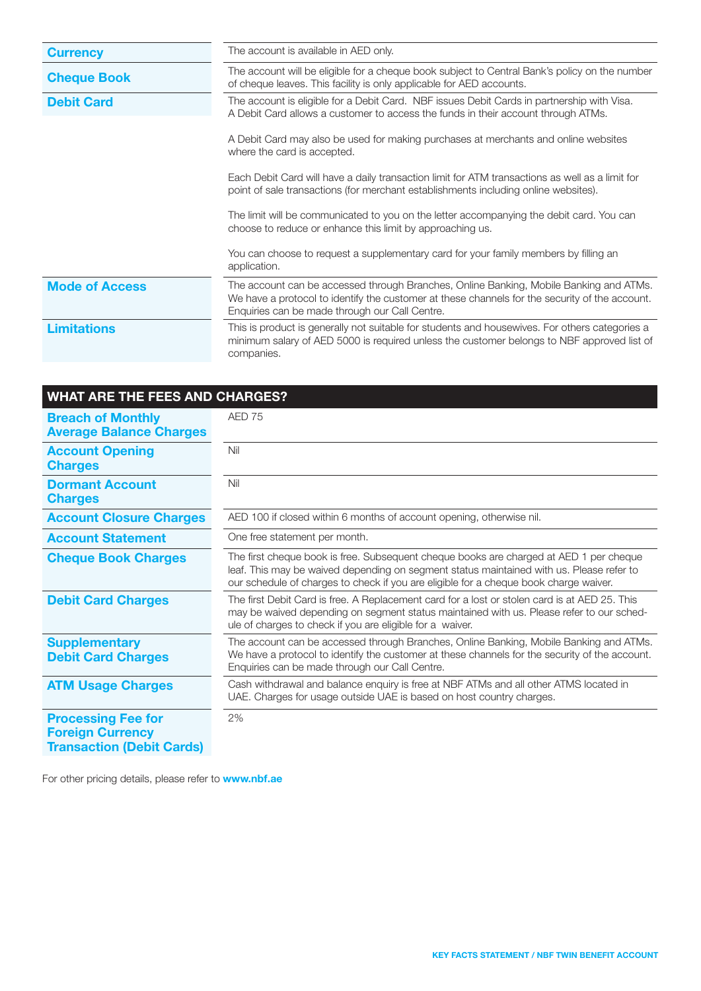| <b>Currency</b>       | The account is available in AED only.                                                                                                                                                                                                      |  |
|-----------------------|--------------------------------------------------------------------------------------------------------------------------------------------------------------------------------------------------------------------------------------------|--|
| <b>Cheque Book</b>    | The account will be eligible for a cheque book subject to Central Bank's policy on the number<br>of cheque leaves. This facility is only applicable for AED accounts.                                                                      |  |
| <b>Debit Card</b>     | The account is eligible for a Debit Card. NBF issues Debit Cards in partnership with Visa.<br>A Debit Card allows a customer to access the funds in their account through ATMs.                                                            |  |
|                       | A Debit Card may also be used for making purchases at merchants and online websites<br>where the card is accepted.                                                                                                                         |  |
|                       | Each Debit Card will have a daily transaction limit for ATM transactions as well as a limit for<br>point of sale transactions (for merchant establishments including online websites).                                                     |  |
|                       | The limit will be communicated to you on the letter accompanying the debit card. You can<br>choose to reduce or enhance this limit by approaching us.                                                                                      |  |
|                       | You can choose to request a supplementary card for your family members by filling an<br>application.                                                                                                                                       |  |
| <b>Mode of Access</b> | The account can be accessed through Branches, Online Banking, Mobile Banking and ATMs.<br>We have a protocol to identify the customer at these channels for the security of the account.<br>Enquiries can be made through our Call Centre. |  |
| <b>Limitations</b>    | This is product is generally not suitable for students and housewives. For others categories a<br>minimum salary of AED 5000 is required unless the customer belongs to NBF approved list of<br>companies.                                 |  |

| <b>WHAT ARE THE FEES AND CHARGES?</b>                                                    |                                                                                                                                                                                                                                                                             |
|------------------------------------------------------------------------------------------|-----------------------------------------------------------------------------------------------------------------------------------------------------------------------------------------------------------------------------------------------------------------------------|
| <b>Breach of Monthly</b><br><b>Average Balance Charges</b>                               | AED 75                                                                                                                                                                                                                                                                      |
| <b>Account Opening</b><br><b>Charges</b>                                                 | Nil                                                                                                                                                                                                                                                                         |
| <b>Dormant Account</b><br><b>Charges</b>                                                 | Nil                                                                                                                                                                                                                                                                         |
| <b>Account Closure Charges</b>                                                           | AED 100 if closed within 6 months of account opening, otherwise nil.                                                                                                                                                                                                        |
| <b>Account Statement</b>                                                                 | One free statement per month.                                                                                                                                                                                                                                               |
| <b>Cheque Book Charges</b>                                                               | The first cheque book is free. Subsequent cheque books are charged at AED 1 per cheque<br>leaf. This may be waived depending on segment status maintained with us. Please refer to<br>our schedule of charges to check if you are eligible for a cheque book charge waiver. |
| <b>Debit Card Charges</b>                                                                | The first Debit Card is free. A Replacement card for a lost or stolen card is at AED 25. This<br>may be waived depending on segment status maintained with us. Please refer to our sched-<br>ule of charges to check if you are eligible for a waiver.                      |
| <b>Supplementary</b><br><b>Debit Card Charges</b>                                        | The account can be accessed through Branches, Online Banking, Mobile Banking and ATMs.<br>We have a protocol to identify the customer at these channels for the security of the account.<br>Enquiries can be made through our Call Centre.                                  |
| <b>ATM Usage Charges</b>                                                                 | Cash withdrawal and balance enquiry is free at NBF ATMs and all other ATMS located in<br>UAE. Charges for usage outside UAE is based on host country charges.                                                                                                               |
| <b>Processing Fee for</b><br><b>Foreign Currency</b><br><b>Transaction (Debit Cards)</b> | 2%                                                                                                                                                                                                                                                                          |

For other pricing details, please refer to **www.nbf.ae**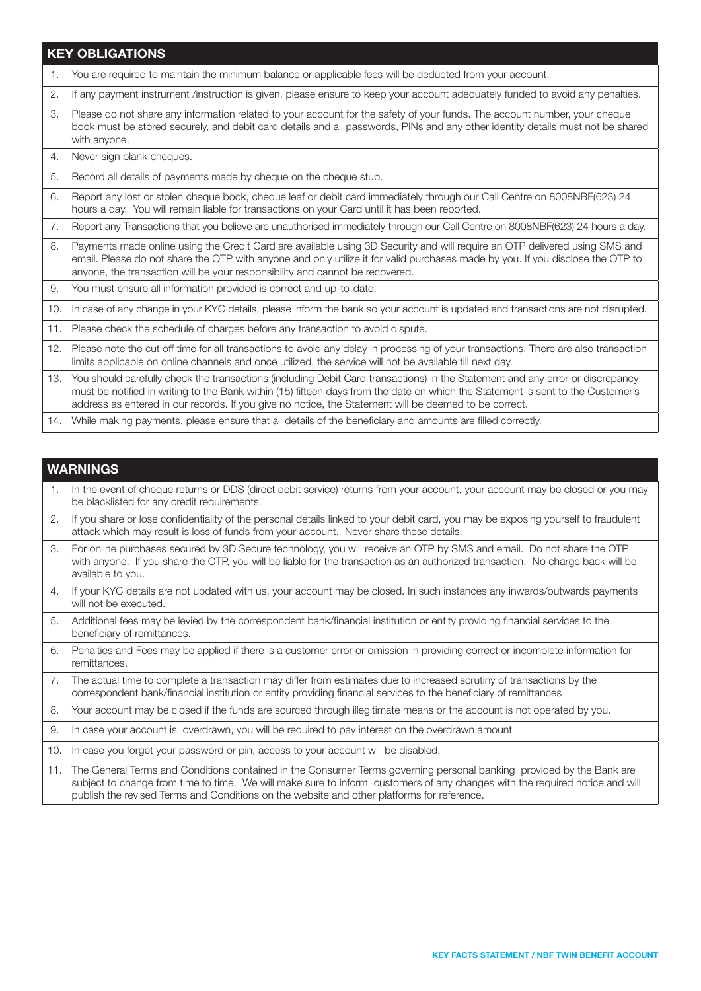|     | <b>KEY OBLIGATIONS</b>                                                                                                                                                                                                                                                                                                                                                    |
|-----|---------------------------------------------------------------------------------------------------------------------------------------------------------------------------------------------------------------------------------------------------------------------------------------------------------------------------------------------------------------------------|
| 1.  | You are required to maintain the minimum balance or applicable fees will be deducted from your account.                                                                                                                                                                                                                                                                   |
| 2.  | If any payment instrument /instruction is given, please ensure to keep your account adequately funded to avoid any penalties.                                                                                                                                                                                                                                             |
| 3.  | Please do not share any information related to your account for the safety of your funds. The account number, your cheque<br>book must be stored securely, and debit card details and all passwords, PINs and any other identity details must not be shared<br>with anyone.                                                                                               |
| 4.  | Never sign blank cheques.                                                                                                                                                                                                                                                                                                                                                 |
| 5.  | Record all details of payments made by cheque on the cheque stub.                                                                                                                                                                                                                                                                                                         |
| 6.  | Report any lost or stolen cheque book, cheque leaf or debit card immediately through our Call Centre on 8008NBF(623) 24<br>hours a day. You will remain liable for transactions on your Card until it has been reported.                                                                                                                                                  |
| 7.  | Report any Transactions that you believe are unauthorised immediately through our Call Centre on 8008NBF(623) 24 hours a day.                                                                                                                                                                                                                                             |
| 8.  | Payments made online using the Credit Card are available using 3D Security and will require an OTP delivered using SMS and<br>email. Please do not share the OTP with anyone and only utilize it for valid purchases made by you. If you disclose the OTP to<br>anyone, the transaction will be your responsibility and cannot be recovered.                              |
| 9.  | You must ensure all information provided is correct and up-to-date.                                                                                                                                                                                                                                                                                                       |
| 10. | In case of any change in your KYC details, please inform the bank so your account is updated and transactions are not disrupted.                                                                                                                                                                                                                                          |
| 11. | Please check the schedule of charges before any transaction to avoid dispute.                                                                                                                                                                                                                                                                                             |
| 12. | Please note the cut off time for all transactions to avoid any delay in processing of your transactions. There are also transaction<br>limits applicable on online channels and once utilized, the service will not be available till next day.                                                                                                                           |
| 13. | You should carefully check the transactions (including Debit Card transactions) in the Statement and any error or discrepancy<br>must be notified in writing to the Bank within (15) fifteen days from the date on which the Statement is sent to the Customer's<br>address as entered in our records. If you give no notice, the Statement will be deemed to be correct. |
| 14. | While making payments, please ensure that all details of the beneficiary and amounts are filled correctly.                                                                                                                                                                                                                                                                |

|     | <b>WARNINGS</b>                                                                                                                                                                                                                                                                                                                                   |
|-----|---------------------------------------------------------------------------------------------------------------------------------------------------------------------------------------------------------------------------------------------------------------------------------------------------------------------------------------------------|
| 1.  | In the event of cheque returns or DDS (direct debit service) returns from your account, your account may be closed or you may<br>be blacklisted for any credit requirements.                                                                                                                                                                      |
| 2.  | If you share or lose confidentiality of the personal details linked to your debit card, you may be exposing yourself to fraudulent<br>attack which may result is loss of funds from your account. Never share these details.                                                                                                                      |
| 3.  | For online purchases secured by 3D Secure technology, you will receive an OTP by SMS and email. Do not share the OTP<br>with anyone. If you share the OTP, you will be liable for the transaction as an authorized transaction. No charge back will be<br>available to you.                                                                       |
| 4.  | If your KYC details are not updated with us, your account may be closed. In such instances any inwards/outwards payments<br>will not be executed.                                                                                                                                                                                                 |
| 5.  | Additional fees may be levied by the correspondent bank/financial institution or entity providing financial services to the<br>beneficiary of remittances.                                                                                                                                                                                        |
| 6.  | Penalties and Fees may be applied if there is a customer error or omission in providing correct or incomplete information for<br>remittances.                                                                                                                                                                                                     |
| 7.  | The actual time to complete a transaction may differ from estimates due to increased scrutiny of transactions by the<br>correspondent bank/financial institution or entity providing financial services to the beneficiary of remittances                                                                                                         |
| 8.  | Your account may be closed if the funds are sourced through illegitimate means or the account is not operated by you.                                                                                                                                                                                                                             |
| 9.  | In case your account is overdrawn, you will be required to pay interest on the overdrawn amount                                                                                                                                                                                                                                                   |
| 10. | In case you forget your password or pin, access to your account will be disabled.                                                                                                                                                                                                                                                                 |
| 11. | The General Terms and Conditions contained in the Consumer Terms governing personal banking provided by the Bank are<br>subject to change from time to time. We will make sure to inform customers of any changes with the required notice and will<br>publish the revised Terms and Conditions on the website and other platforms for reference. |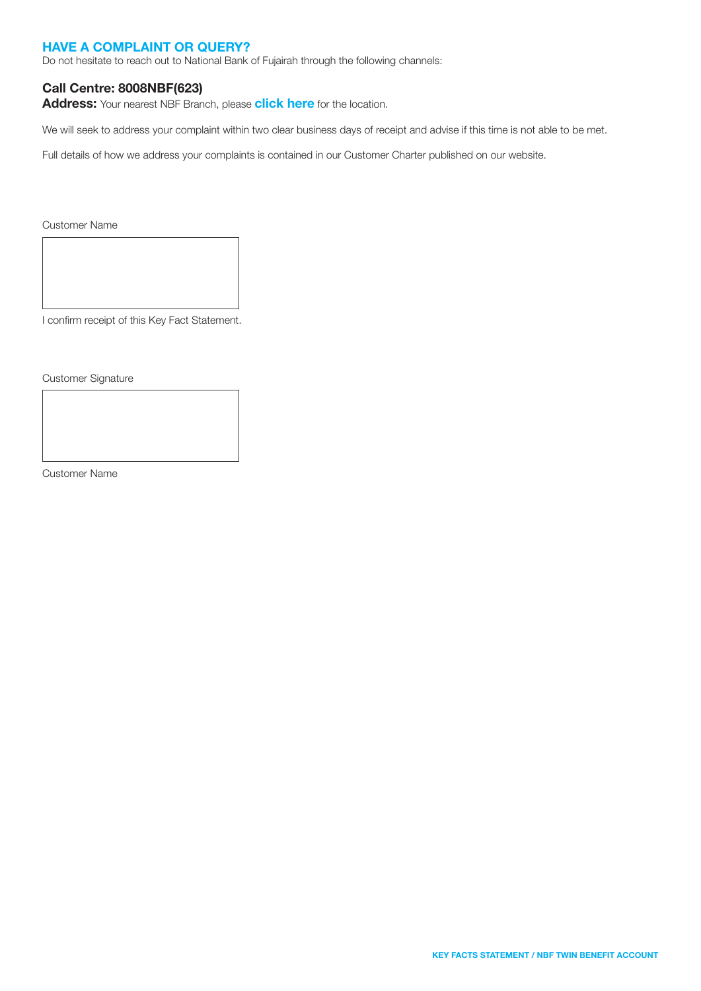#### HAVE A COMPLAINT OR QUERY?

Do not hesitate to reach out to National Bank of Fujairah through the following channels:

#### Call Centre: 8008NBF(623)

Address: Your nearest NBF Branch, please [click here](https://nbf.ae/en/contact/locations) for the location.

We will seek to address your complaint within two clear business days of receipt and advise if this time is not able to be met.

Full details of how we address your complaints is contained in our Customer Charter published on our website.

Customer Name

I confirm receipt of this Key Fact Statement.

Customer Signature

Customer Name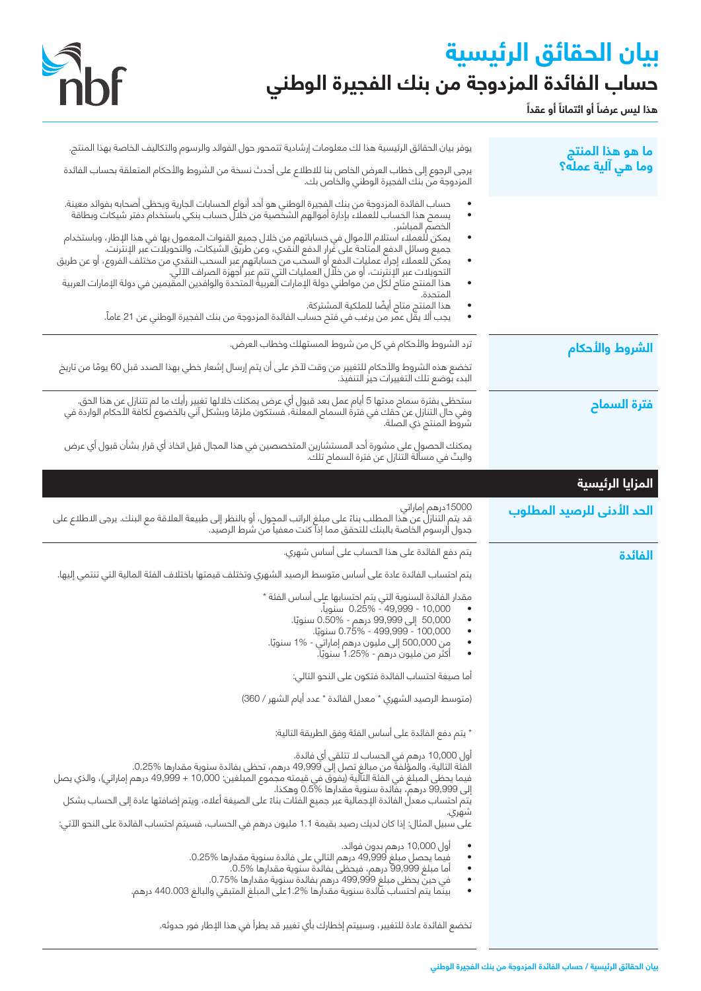## **بيان الحقائق الرئيسية حساب الفائدة المزدوجة من بنك الفجيرة الوطني**



**ً** هذا ليس عرضاً أو ائتماناً أو عقداً

| يوفر بيان الحقائق الرئيسية هذا لك معلومات إرشادية تتمحور حول الفوائد والرسوم والتكاليف الخاصة بهذا المنتج.<br>يرجى الرجوع إلى خطاب العرض الخاص بنا للاطلاع على أحدث نسخة من الشروط والأحكام المتعلقة بحساب الفائدة<br>المزدوجة من بنك الفجيرة الوطني والخاص بك.                                                                                                                                                                                                                                                                                                                                                                                                                                                                                                                                                                                                                                       | ما هو هذا المنتج<br>وما هي آلية عمله؟ |
|-------------------------------------------------------------------------------------------------------------------------------------------------------------------------------------------------------------------------------------------------------------------------------------------------------------------------------------------------------------------------------------------------------------------------------------------------------------------------------------------------------------------------------------------------------------------------------------------------------------------------------------------------------------------------------------------------------------------------------------------------------------------------------------------------------------------------------------------------------------------------------------------------------|---------------------------------------|
| حساب الفائدة المزدوجة من بنك الفجيرة الوطني هو أحد أنواع الحسابات الجارية ويحظى أصحابه بفوائد معينة.<br>يسمح هذا الحساب للعملاء بإدارة أموالهم الشخصية من خلال حساب بنكي باستخدام دفتر شيكات وبطاقة<br>$\bullet$<br>الخصم المباشر.<br>يمكن للعملاء استلام الأموال في حساباتهم من خلال جميع القنوات المعمول بها في هذا الإطار، وباستخدام<br>جميع وسائل الدفع المتاحة على غَرار الدفع النقدي، وعن طريق الشَّيكات، والتَّحويلَّات عبر الإنتْرنتُ.<br>يمكن للعملاء إجراءً عمليات الدفع أو السحب من حساباتهم عبر السحب النقدي من مختلف الفروع، أو عن طريق<br>التحويلات عبر اَلإنترنت، أو من خلّال العمليات التي تتم عبر اجهزة الصراف الآلي.<br>هذا المنتج متاح لكل من مواطني دولة الإمارات الّعربية المتحدة والوافدين المقيمين في دولة الإمارات العربية<br>المتحدة.<br>هذا المنتج متاح أيضًا للملكية المشتركة.<br>يجب ألا يقَل عمر من يرغب في فتح حساب الفائدة المزدوجة من بنك الفجيرة الوطنى عن 21 عاماً. |                                       |
| ترد الشروط والأحكام في كل من شروط المستهلك وخطاب العرض.                                                                                                                                                                                                                                                                                                                                                                                                                                                                                                                                                                                                                                                                                                                                                                                                                                               | الشروط والأحكام                       |
| تخضع هذه الشروط والأحكام للتغيير من وقت لآخر على أن يتم إرسال إشعار خطي بهذا الصدد قبل 60 يومًا من تاريخ<br>البدء بوضع تلك التغييرات حيز التنفيذ.                                                                                                                                                                                                                                                                                                                                                                                                                                                                                                                                                                                                                                                                                                                                                     |                                       |
| ستحظى بفترة سماح مدتها 5 أيام عمل بعد قبول أي عرض يمكنك خلالها تغيير رأيك ما لم تتنازل عن هذا الحق.<br>وفي حال التنازل عن حقك في فترة السماح المعلنة، فستكون ملزمًا وبشكل آني بالخضوع لكافة الأحكام الواردة في<br>شروط المنتج ذي ال                                                                                                                                                                                                                                                                                                                                                                                                                                                                                                                                                                                                                                                                   | فترة السماح                           |
| يمكنك الحصول على مشورة أحد المستشارين المتخصصين في هذا المجال قبل اتخاذ أي قرار بشأن قبول أي عرض<br>والبتّ في مسألَّة التِّنَّازل عن فترة السمام تلُكَّ.                                                                                                                                                                                                                                                                                                                                                                                                                                                                                                                                                                                                                                                                                                                                              |                                       |
|                                                                                                                                                                                                                                                                                                                                                                                                                                                                                                                                                                                                                                                                                                                                                                                                                                                                                                       | المزايا الرئيسية                      |
| 15000درهم إماراتي<br>قد يتم التنازل عن هذا المطلب بناءً على مبلغ الراتب المحول، أو بالنظر إلى طبيعة العلاقة مع البنك. يرجى الاطلاع على<br>جدول الرسوم الخاصة بالبنك للتحقق مما إذا كنت معفياً من شرط الرصيد.                                                                                                                                                                                                                                                                                                                                                                                                                                                                                                                                                                                                                                                                                          | الحد الأدنى للرصيد المطلوب            |
| يتم دفع الفائدة على هذا الحساب على أساس شهري.                                                                                                                                                                                                                                                                                                                                                                                                                                                                                                                                                                                                                                                                                                                                                                                                                                                         | الفائدة                               |
| يتم احتساب الفائدة عادة على أساس متوسط الرصيد الشهري وتختلف قيمتها باختلاف الفئة المالية التي تنتمي إليها.                                                                                                                                                                                                                                                                                                                                                                                                                                                                                                                                                                                                                                                                                                                                                                                            |                                       |
| مقدار الفائدة السنوية التي يتم احتسابها على أساس الفئة *<br>0.25% - 49,999 - 0.25% سنويا.<br>٠<br>50,000 إلى 99,999 درهم - %0.50 سنويًا.<br>100,000 - 499,999 - 0.75% سنويًا.<br>٠<br>من 500,000 إلى مليون درهم إماراتي - 1% سنويًا.<br>أكثر من مليون درهم - 1.25% سنويًا.<br>$\bullet$                                                                                                                                                                                                                                                                                                                                                                                                                                                                                                                                                                                                               |                                       |
| أما صيغة احتساب الفائدة فتكون على النحو التالي:                                                                                                                                                                                                                                                                                                                                                                                                                                                                                                                                                                                                                                                                                                                                                                                                                                                       |                                       |
| (متوسط الرصيد الشهري * معدل الفائدة * عدد أيام الشهر / 360)                                                                                                                                                                                                                                                                                                                                                                                                                                                                                                                                                                                                                                                                                                                                                                                                                                           |                                       |
| * يتم دفع الفائدة على أساس الفئة وفق الطريقة التالية:                                                                                                                                                                                                                                                                                                                                                                                                                                                                                                                                                                                                                                                                                                                                                                                                                                                 |                                       |
| أول 10,000 درهم في الحساب لد تتلقى أي فائدة.<br>الفئة التالية، والمؤلفةَ من مبالغ تصل إلى 49٬999 درهم، تحظى بفائدة سنوية مقدارها 0.25%.<br>فيما يحظى المبلغ فى الفَّنَة التآلية (يَفْوَقُ في قيمته مجموع المبلغين: 10,000 + 49,999 درهم إماراتي)، والذي يصل<br>إلى 99,999 درهم، بفَائدة سنوية مقدارها %0.5 وهكذا.<br>يتم احتساب معدل الفائدة الإجمالية عبر جميع الفئات بناءً على الصيغة أعلاه، ويتم إضافتها عادة إلى الحساب بشكل<br>شهري.<br>على سبيل المثال: إذا كان لديك رصيد بقيمة 1.1 مليون درهم في الحساب، فسيتم احتساب الفائدة على النحو الآتي:                                                                                                                                                                                                                                                                                                                                                 |                                       |
| أول 10,000 درهم بدون فوائد.<br>$\bullet$<br>فيما يحصل مبلغ 49,999 درهم التالي على فائدة سنوية مقدارها %0.25.<br>٠<br>أما مبلغ 99,999 درهم، فيحظى بفائدة سنوية مقدارها %0.5.<br>في حينَ يحظى مبلغ 499,999 درهم بفائدة سنوية مقدارها %0.75.<br>$\bullet$<br>بينَّما يتم احتساب فَائدة سنوية مقدارها %1.2ملي المبلغ المتبقى والبالغ 440.003 درهم.                                                                                                                                                                                                                                                                                                                                                                                                                                                                                                                                                        |                                       |
| تخضع الفائدة عادة للتغيير، وسييتم إخطارك بأي تغيير قد يطرأ في هذا الإطار فور حدوثه.                                                                                                                                                                                                                                                                                                                                                                                                                                                                                                                                                                                                                                                                                                                                                                                                                   |                                       |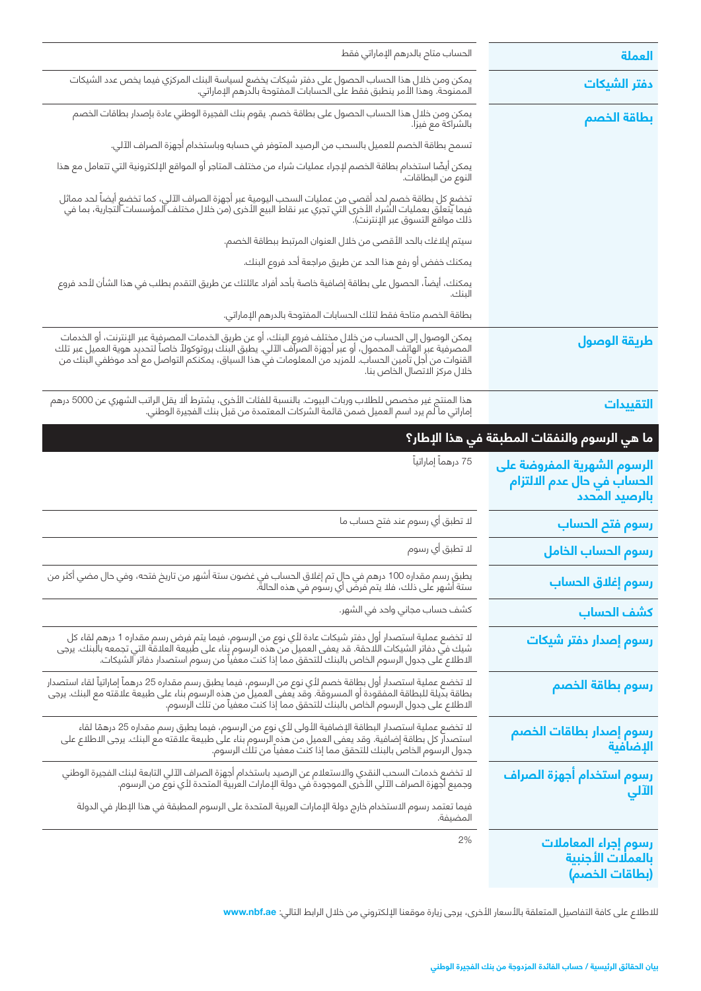| العملة                                                                               | الحساب متام بالدرهم الإماراتي فقط                                                                                                                                                                                                   |
|--------------------------------------------------------------------------------------|-------------------------------------------------------------------------------------------------------------------------------------------------------------------------------------------------------------------------------------|
| <mark>دفتر الشيكات</mark>                                                            | يمكن ومن خلال هذا الحساب الحصول على دفتر شيكات يخضع لسياسة البنك المركزي فيما يخص عدد الشيكات<br>الممنوحة. وهذا الأمر ينطبق فقط على الحسابات المفتوحة بالدرهم الإماراتي.                                                            |
| بطاقة الخصم                                                                          | يمكن ومن خلال هذا الحساب الحصول على بطاقة خصم. يقوم بنك الفجيرة الوطني عادة بإصدار بطاقات الخصم<br>بالشراكة مع فيزا.                                                                                                                |
|                                                                                      | تسمح بطاقة الخصم للعميل بالسحب من الرصيد المتوفر في حسابه وباستخدام أجهزة الصراف الآلي.                                                                                                                                             |
|                                                                                      | يمكن أيضًا استخدام بطاقة الخصم لإجراء عمليات شراء من مختلف المتاجر أو المواقع الإلكترونية التي تتعامل مع هذا<br>النوع من البطاقات.                                                                                                  |
|                                                                                      | تخضع كل بطاقة خصم لحد أقصى من عمليات السحب اليومية عبر أجهزة الصراف الآلي، كما تخضع أيضاً لحد مماثل<br>فيما يتعلق بعمليات الشراء الأخرى التي تجري عبر نقاط البيع الأخرى (من خلال مختلف المؤسسات التجارية، بما في<br>ذلك مواقع التسو |
|                                                                                      | سيتم إبلاغك بالحد الأقصى من خلال العنوان المرتبط ببطاقة الخصم.                                                                                                                                                                      |
|                                                                                      | يمكنك خفض أو رفع هذا الحد عن طريق مراجعة أحد فروع البنك.                                                                                                                                                                            |
|                                                                                      | يمكنك، أيضاً، الحصول على بطاقة إضافية خاصة بأحد أفراد عائلتك عن طريق التقدم بطلب في هذا الشأن لأحد فروع                                                                                                                             |
|                                                                                      | بطاقة الخصم متاحة فقط لتلك الحسابات المفتوحة بالدرهم الإماراتي.                                                                                                                                                                     |
| طريقة الوصول                                                                         | يمكن الوصول إلى الحساب من خلال مختلف فروع البنك، أو عن طريق الخدمات المصرفية عبر الإنترنت، أو الخدمات<br>المصرفية عبر الهاتف المحمول، أو عبر أجهزة الصراف الآلي. يطبق البنك بروتوكولاً خاصاً لتحديد هوية العميل عبر تلك<br>القنوات  |
| التقييدات                                                                            | هذا المنتج غير مخصص للطلاب وربات البيوت. بالنسبة للفئات الأخرى، يشترط ألا يقل الراتب الشهري عن 5000 درهم<br>إماراتي ما لم يرد اسم العميل ضمن قائمة الشركات المعتمدة من قبل بنك الفجيرة الوطني.                                      |
| ما هي الرسوم والنفقات المطبقة في هذا الإطار؟                                         |                                                                                                                                                                                                                                     |
| الرسوم الشهرية المفروضة على<br>الحساب في حال عدم ال <i>ا</i> لتزام<br>بالرصيد المحدد | 75 درهماً إماراتياً                                                                                                                                                                                                                 |
| رسوم فتح الحساب                                                                      | لا تطبق أي رسوم عند فتح حساب ما                                                                                                                                                                                                     |
| رسوم الحساب الخامل                                                                   | لا تطبق أي رسوم                                                                                                                                                                                                                     |
| رسوم إغلاق الحساب                                                                    | يطبق رسم مقداره 100 درهم في حال تم إغلاق الحساب في غضون ستة أشهر من تاريخ فتحه، وفي حال مضي أكثر من<br>ستة أشهر على ذلك، فلا يتم فرض أي رسوم في هذه الحالة.                                                                         |
| كشف الحساب                                                                           | كشف حساب مجاني واحد في الشهر.                                                                                                                                                                                                       |
| رسوم إصدار دفتر شيكات                                                                | للـ تخضع عملية استصدار أول دفتر شيكات عادة لأي نوع من الرسوم، فيما يتم فرض رسم مقداره 1 درهم لقاء كل<br>شيك في دفاتر الشيكات اللاحقة. قد يعفى العميل من هذه الرسوم بناء على طبيعة العلاقة التي تجمعه بالبنك. يرجى<br>الاطلاع على جد |
| رسوم بطاقة الخصم                                                                     | لا تخضع عملية استصدار أول بطاقة خصم لأي نوع من الرسوم، فيما يطبق رسم مقداره 25 درهماً إماراتياً لقاء استصدار<br>بطاقة بديلة للبطاقة المفقودة أو المسروقة. وقد يعفى العميل من هذه الرسوم بناء على طبيعة علاقته مع البنك. يرجى<br>الا |
| رسوم إصدار بطاقات الخصم<br>الإضافية                                                  | لا تخضع عملية استصدار البطاقة الإضافية الأولى لأي نوع من الرسوم، فيما يطبق رسم مقداره 25 درهمًا لقاء<br>استصدار كل بطاقة إضافية. وقد يعفى العميل من هذه الرسوم بناء على طبيعة علاقته مع البنك. يرجى الاطلاع على<br>جدول الرسوم الخا |
|                                                                                      |                                                                                                                                                                                                                                     |
|                                                                                      | لا تخضع خدمات السحب النقدي والاستعلام عن الرصيد باستخدام أجهزة الصراف الآلي التابعة لبنك الفجيرة الوطني<br>وجميع أجهزة الصراف الآلي الأخرى الموجودة في دولة الإمارات العربية المتحدة لأي نوع من الرسوم.                             |
| رسوم استخدام أجهزة الصراف<br>الآلي                                                   | فيما تعتمد رسوم الاستخدام خارج دولة الإمارات العربية المتحدة على الرسوم المطبقة في هذا الإطار في الدولة<br>المضيفة.                                                                                                                 |

لالطالع على كافة التفاصيل المتعلقة باألسعار األخرى، يرجى زيارة موقعنا اإللكتروني من خالل الرابط التالي: **ae.nbf.www**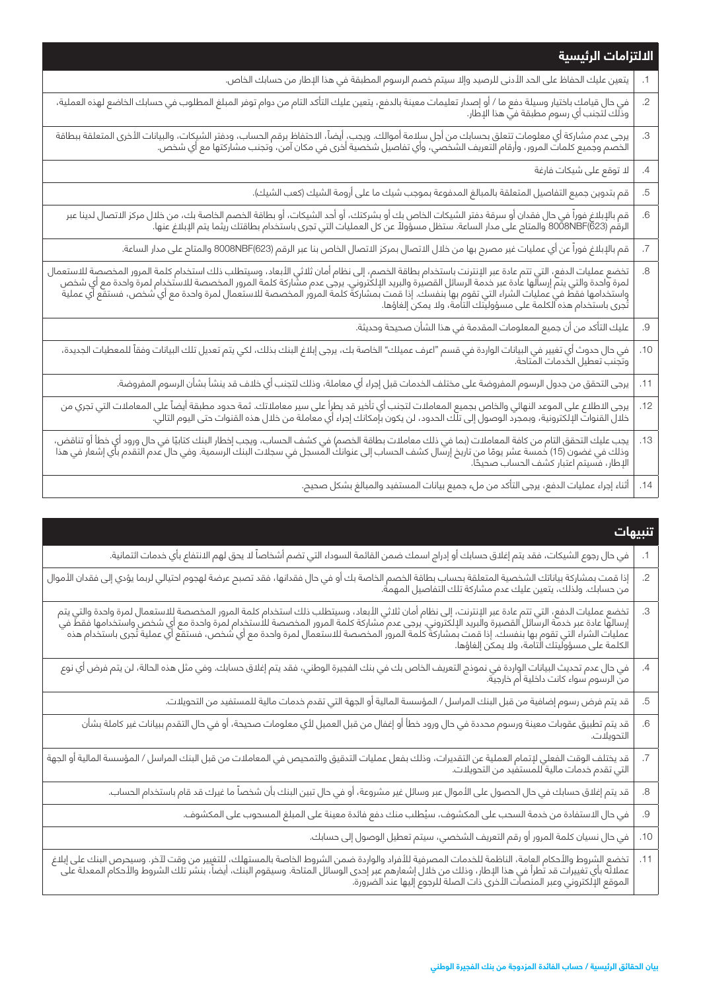|                | الالتزامات الرئيسية                                                                                                                                                                                                              |  |
|----------------|----------------------------------------------------------------------------------------------------------------------------------------------------------------------------------------------------------------------------------|--|
| $\cdot$ 1      | يتعين عليك الحفاظ على الحد الأدنى للرصيد وإلا سيتم خصم الرسوم المطبقة في هذا الإطار من حسابك الخاص.                                                                                                                              |  |
| $\overline{2}$ | في حال قيامك باختيار وسيلة دفع ما / أو إصدار تعليمات معينة بالدفع، يتعين عليك التأكد التام من دوام توفر المبلغ المطلوب في حسابك الخاضع لهذه العملية،<br>وذلك لتجنب أي رسوم مطبقة في هذا الإطار.                                  |  |
| З.             | يرجى عدم مشاركة أي معلومات تتعلق بحسابك من أجل سلامة أموالك. ويجب، أيضاً، الاحتفاظ برقم الحساب، ودفتر الشيكات، والبيانات الأخرى المتعلقة ببطاقة<br>الخصم وجميع كلمات المرور، وأرقام التعريف الشخصي، وأي تفاصيل شخصية أخرى في مكا |  |
| $.4\,$         | لا توقع على شيكات فارغة                                                                                                                                                                                                          |  |
| .5             | قم بتدوين جميع التفاصيل المتعلقة بالمبالغ المدفوعة بموجب شيك ما على أرومة الشيك (كعب الشيك).                                                                                                                                     |  |
| .6             | قم بالإبلاغ فوراً في حال فقدان أو سرقة دفتر الشيكات الخاص بك أو بشركتك، أو أحد الشيكات، أو بطاقة الخصم الخاصة بك، من خلال مركز الاتصال لدينا عبر<br>الرقم (8008NBF(623 والمتاح على مدار الساعة. ستظل مسؤولاً عن كل العمليات التي |  |
| $.7\,$         | قم بالإبلاغ فوراً عن أي عمليات غير مصرح بها من خلال الاتصال بمركز الاتصال الخاص بنا عبر الرقم (8008NBF(623 والمتاح على مدار الساعة.                                                                                              |  |
| .8             | تخضع عمليات الدفع، التي تتم عادة عبر الإنترنت باستخدام بطاقة الخصم، إلى نظام أمان ثلاثي الأبعاد، وسيتطلب ذلك استخدام كلمة المرور المخصصة للاستعمال<br>لمرة واحدة والتي يتم إرسالها عادة عبر خدمة الرسائل القصيرة والبريد الإلكتر |  |
| $.9\,$         | عليك التأكد من أن جميع المعلومات المقدمة في هذا الشأن صحيحة وحديثة.                                                                                                                                                              |  |
| .10            | .<br>في حال حدوث أي تغيير في البيانات الواردة في قسم "اعرف عميلك" الخاصة بك، يرجى إبلاغ البنك بذلك، لكي يتم تعديل تلك البيانات وفقاً للمعطيات الجديدة،<br>وتجنب تعطيل الخدمات المتاحة.                                           |  |
| .11            | يرجى التحقق من جدول الرسوم المفروضة على مختلف الخدمات قبل إجراء أي معاملة، وذلك لتجنب أي خلاف قد ينشأ بشأن الرسوم المفروضة.                                                                                                      |  |
| .12            | يرجى الاطلاع على الموعد النهائي والخاص بجميع المعاملات لتجنب أي تأخير قد يطرأ على سير معاملاتك. ثمة حدود مطبقة أيضاً على المعاملات التي تجري من<br>خلال القنوات الإلكترونية، وبمجرد الوصول إلى تلك الحدود، لن يكون بإمكانك إجراء |  |
| .13            | يجب عليك التحقق التام من كافة المعاملات (بما في ذلك معاملات بطاقة الخصم) في كشف الحساب، ويجب إخطار البنك كتابيًا في حال ورود أي خطأ أو تناقض،<br>وذلك في غضون (15) خمسة عشر يومًا من تاريخ إرسال كشف الحساب إلى عنوانك المسجل في |  |
| .14            | أثناء إجراء عمليات الدفع، يرجى التأكد من ملء جميع بيانات المستفيد والمبالغ بشكل صحيح.                                                                                                                                            |  |

|        | تنبيهات                                                                                                                                                                                                                          |
|--------|----------------------------------------------------------------------------------------------------------------------------------------------------------------------------------------------------------------------------------|
|        | في حال رجوع الشيكات، فقد يتم إغلاق حسابك أو إدراج اسمك ضمن القائمة السوداء التي تضم أشخاصاً لا يحق لهم الانتفاع بأي خدمات ائتمانية.                                                                                              |
| $.2\,$ | إذا قمت بمشاركة بياناتك الشخصية المتعلقة بحساب بطاقة الخصم الخاصة بك أو في حال فقدانها، فقد تصبح عرضة لهجوم احتيالي لربما يؤدي إلى فقدان الأموال<br>من حسابك. ولذلك، يتعين عليك عدم مشاركة تلك التفاصيل المهمة.                  |
| .3     | تخضع عمليات الدفع، التي تتم عادة عبر الإنترنت، إلى نظام أمان ثلاثي الأبعاد، وسيتطلب ذلك استخدام كلمة المرور المخصصة للاستعمال لمرة واحدة والتي يتم<br> إرسالها عادة عبر خدمة الرسائل القصيرة والبريد الإلكتروني. يرجى عدم مشار   |
| .4     | في حال عدم تحديث البيانات الواردة في نموذج التعريف الخاص بك في بنك الفجيرة الوطني، فقد يتم إغلاق حسابك. وفي مثل هذه الحالة، لن يتم فرض أي نوع<br>من الرسوم سواء كانت داخلية أم خارجية.                                           |
| .5     | قد يتم فرض رسوم إضافية من قبل البنك المراسل / المؤسسة المالية أو الجهة التي تقدم خدمات مالية للمستفيد من التحويلات.                                                                                                              |
| .6     | قد يتم تطبيق عقوبات معينة ورسوم محددة في حال ورود خطأ أو إغفال من قبل العميل لأي معلومات صحيحة، أو في حال التقدم ببيانات غير كاملة بشأن<br>التحويلات.                                                                            |
| .7     | قد يختلف الوقت الفعلي لإتمام العملية عن التقديرات، وذلك بفعل عمليات التدقيق والتمحيص في المعاملات من قبل البنك المراسل / المؤسسة المالية أو الجهة<br>التي تقدم خدمات مالية للمستفيد من التحويلات.                                |
| .8     | قد يتم إغلاق حسابك في حال الحصول على الأموال عبر وسائل غير مشروعة، أو في حال تبين البنك بأن شخصاً ما غيرك قد قام باستخدام الحساب.                                                                                                |
| .9     | في حال الاستفادة من خدمة السحب على المكشوف، سيُطلب منك دفع فائدة معينة على المبلغ المسحوب على المكشوف.                                                                                                                           |
| .10    | في حال نسيان كلمة المرور أو رقم التعريف الشخصي، سيتم تعطيل الوصول إلى حسابك.                                                                                                                                                     |
| .11    | تخضع الشروط والأحكام العامة، الناظمة للخدمات المصرفية للأفراد والواردة ضمن الشروط الخاصة بالمستهلك، للتغيير من وقت لآخر. وسيحرص البنك على إبلاغ<br>عملائه بأي تغييرات قد تطرأ في هذا الإطار، وذلك من خلال إشعارهم عبر إحدى الوسا |
|        |                                                                                                                                                                                                                                  |